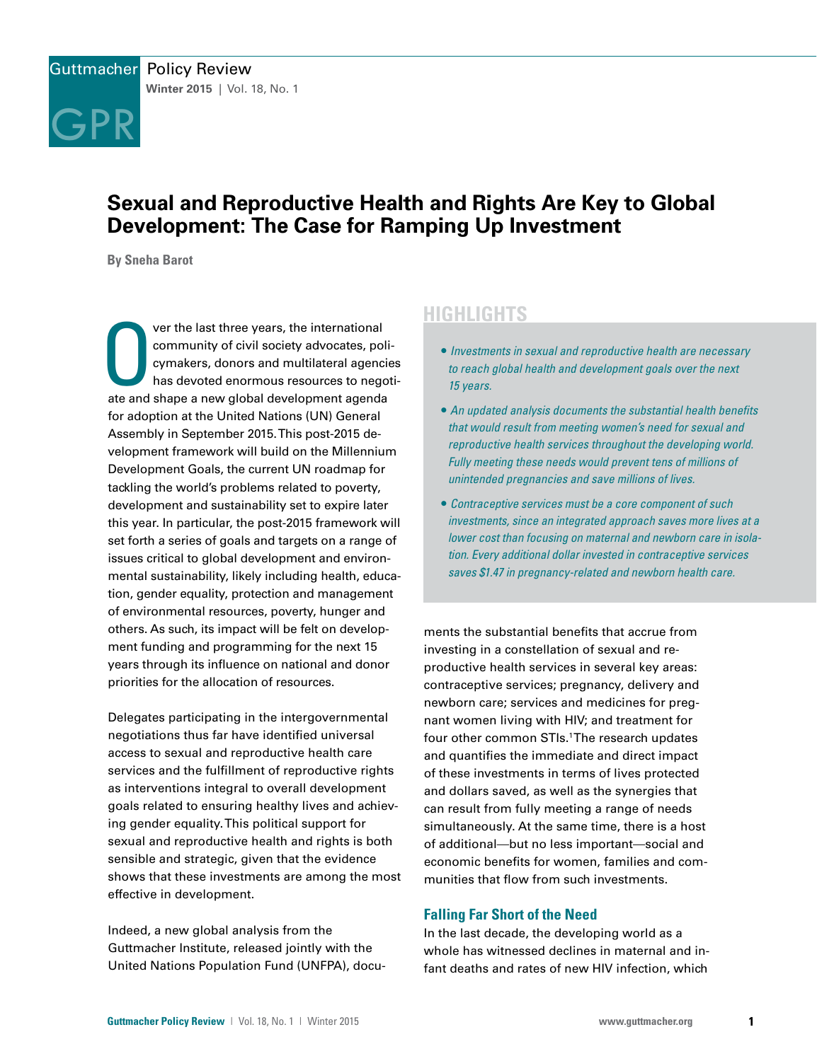

# **Sexual and Reproductive Health and Rights Are Key to Global Development: The Case for Ramping Up Investment**

**By Sneha Barot**

Ver the last three years, the international<br>community of civil society advocates, poli<br>cymakers, donors and multilateral agencia<br>has devoted enormous resources to nego<br>ate and shape a new global development agenda ver the last three years, the international community of civil society advocates, policymakers, donors and multilateral agencies has devoted enormous resources to negotifor adoption at the United Nations (UN) General Assembly in September 2015. This post-2015 development framework will build on the Millennium Development Goals, the current UN roadmap for tackling the world's problems related to poverty, development and sustainability set to expire later this year. In particular, the post-2015 framework will set forth a series of goals and targets on a range of issues critical to global development and environmental sustainability, likely including health, education, gender equality, protection and management of environmental resources, poverty, hunger and others. As such, its impact will be felt on development funding and programming for the next 15 years through its influence on national and donor priorities for the allocation of resources.

Delegates participating in the intergovernmental negotiations thus far have identified universal access to sexual and reproductive health care services and the fulfillment of reproductive rights as interventions integral to overall development goals related to ensuring healthy lives and achieving gender equality. This political support for sexual and reproductive health and rights is both sensible and strategic, given that the evidence shows that these investments are among the most effective in development.

Indeed, a new global analysis from the Guttmacher Institute, released jointly with the United Nations Population Fund (UNFPA), docu-

## **HIGHLIGHTS**

- *Investments in sexual and reproductive health are necessary to reach global health and development goals over the next 15 years.*
- *An updated analysis documents the substantial health benefits that would result from meeting women's need for sexual and reproductive health services throughout the developing world. Fully meeting these needs would prevent tens of millions of unintended pregnancies and save millions of lives.*
- *Contraceptive services must be a core component of such investments, since an integrated approach saves more lives at a lower cost than focusing on maternal and newborn care in isolation. Every additional dollar invested in contraceptive services saves \$1.47 in pregnancy-related and newborn health care.*

ments the substantial benefits that accrue from investing in a constellation of sexual and reproductive health services in several key areas: contraceptive services; pregnancy, delivery and newborn care; services and medicines for pregnant women living with HIV; and treatment for four other common STIs.<sup>1</sup> The research updates and quantifies the immediate and direct impact of these investments in terms of lives protected and dollars saved, as well as the synergies that can result from fully meeting a range of needs simultaneously. At the same time, there is a host of additional—but no less important—social and economic benefits for women, families and communities that flow from such investments.

## **Falling Far Short of the Need**

In the last decade, the developing world as a whole has witnessed declines in maternal and infant deaths and rates of new HIV infection, which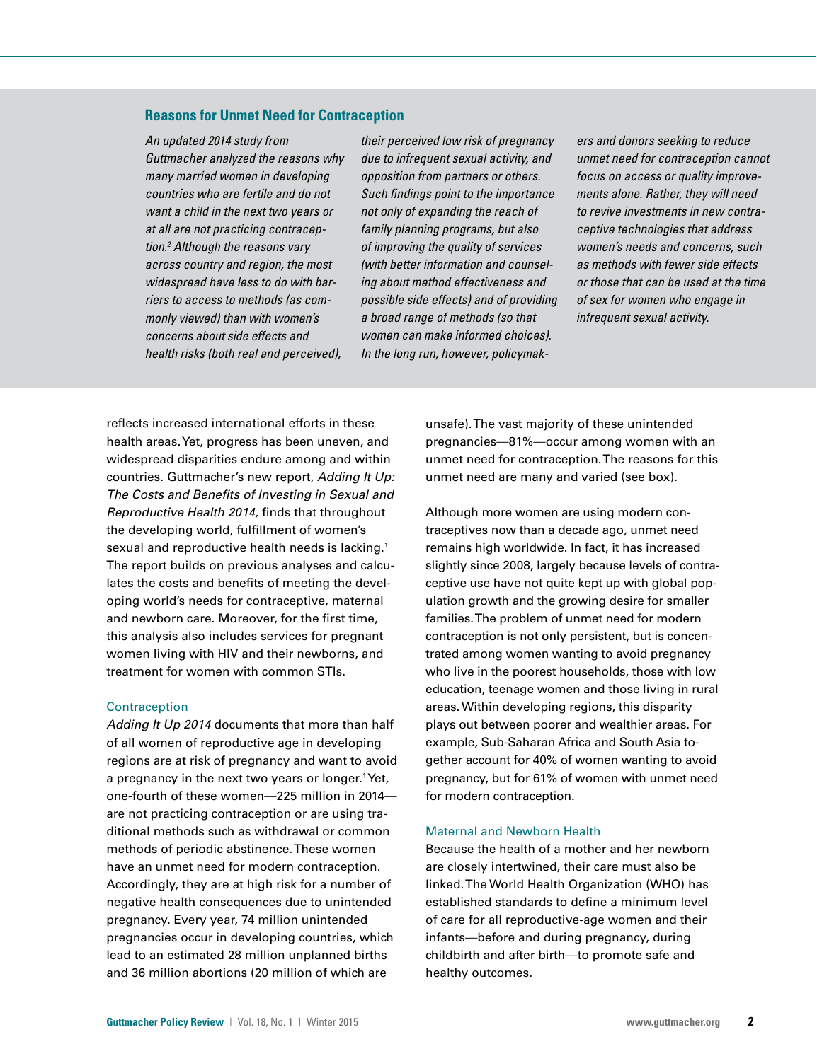#### **Reasons for Unmet Need for Contraception**

*An updated 2014 study from Guttmacher analyzed the reasons why many married women in developing countries who are fertile and do not want a child in the next two years or at all are not practicing contraception.2 Although the reasons vary across country and region, the most widespread have less to do with barriers to access to methods (as commonly viewed) than with women's concerns about side effects and health risks (both real and perceived),* 

*their perceived low risk of pregnancy due to infrequent sexual activity, and opposition from partners or others. Such findings point to the importance not only of expanding the reach of family planning programs, but also of improving the quality of services (with better information and counseling about method effectiveness and possible side effects) and of providing a broad range of methods (so that women can make informed choices). In the long run, however, policymak-*

*ers and donors seeking to reduce unmet need for contraception cannot focus on access or quality improvements alone. Rather, they will need to revive investments in new contraceptive technologies that address women's needs and concerns, such as methods with fewer side effects or those that can be used at the time of sex for women who engage in infrequent sexual activity.* 

reflects increased international efforts in these health areas. Yet, progress has been uneven, and widespread disparities endure among and within countries. Guttmacher's new report, *Adding It Up: The Costs and Benefits of Investing in Sexual and Reproductive Health 2014,* finds that throughout the developing world, fulfillment of women's sexual and reproductive health needs is lacking.<sup>1</sup> The report builds on previous analyses and calculates the costs and benefits of meeting the developing world's needs for contraceptive, maternal and newborn care. Moreover, for the first time, this analysis also includes services for pregnant women living with HIV and their newborns, and treatment for women with common STIs.

#### **Contraception**

*Adding It Up 2014* documents that more than half of all women of reproductive age in developing regions are at risk of pregnancy and want to avoid a pregnancy in the next two years or longer.<sup>1</sup>Yet, one-fourth of these women—225 million in 2014 are not practicing contraception or are using traditional methods such as withdrawal or common methods of periodic abstinence. These women have an unmet need for modern contraception. Accordingly, they are at high risk for a number of negative health consequences due to unintended pregnancy. Every year, 74 million unintended pregnancies occur in developing countries, which lead to an estimated 28 million unplanned births and 36 million abortions (20 million of which are

unsafe). The vast majority of these unintended pregnancies—81%—occur among women with an unmet need for contraception. The reasons for this unmet need are many and varied (see box).

Although more women are using modern contraceptives now than a decade ago, unmet need remains high worldwide. In fact, it has increased slightly since 2008, largely because levels of contraceptive use have not quite kept up with global population growth and the growing desire for smaller families. The problem of unmet need for modern contraception is not only persistent, but is concentrated among women wanting to avoid pregnancy who live in the poorest households, those with low education, teenage women and those living in rural areas. Within developing regions, this disparity plays out between poorer and wealthier areas. For example, Sub-Saharan Africa and South Asia together account for 40% of women wanting to avoid pregnancy, but for 61% of women with unmet need for modern contraception.

#### Maternal and Newborn Health

Because the health of a mother and her newborn are closely intertwined, their care must also be linked. The World Health Organization (WHO) has established standards to define a minimum level of care for all reproductive-age women and their infants—before and during pregnancy, during childbirth and after birth—to promote safe and healthy outcomes.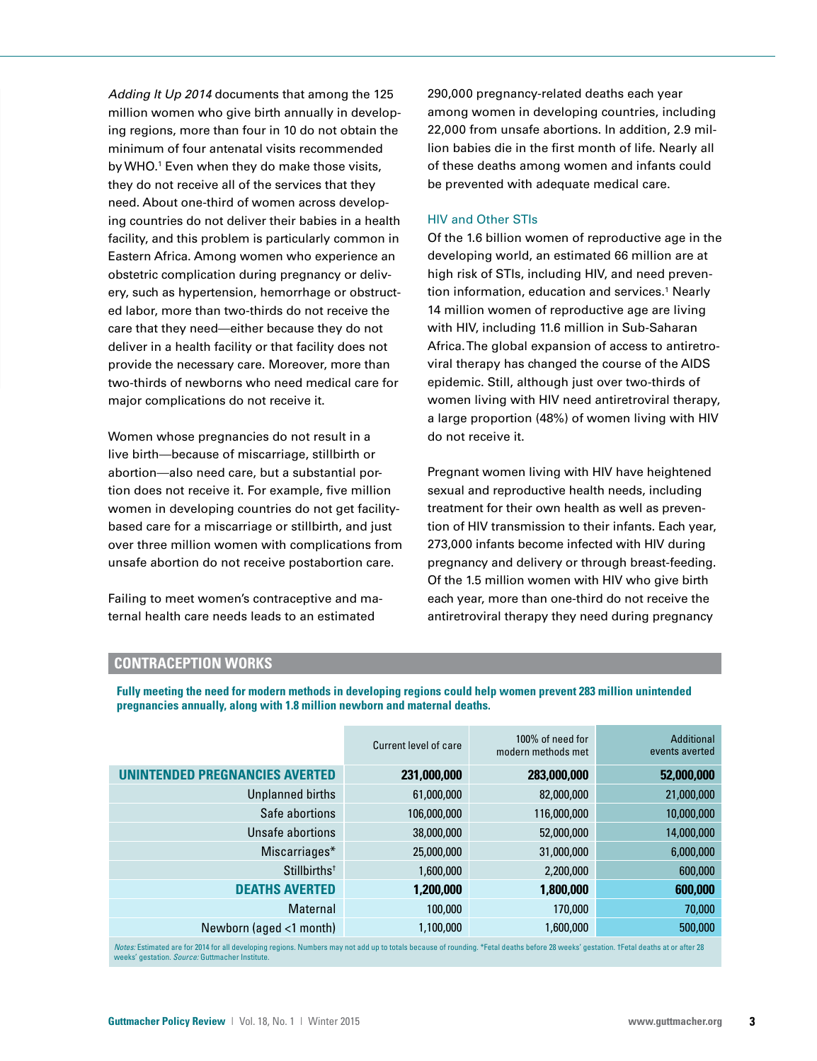*Adding It Up 2014* documents that among the 125 million women who give birth annually in developing regions, more than four in 10 do not obtain the minimum of four antenatal visits recommended by WHO.1 Even when they do make those visits, they do not receive all of the services that they need. About one-third of women across developing countries do not deliver their babies in a health facility, and this problem is particularly common in Eastern Africa. Among women who experience an obstetric complication during pregnancy or delivery, such as hypertension, hemorrhage or obstructed labor, more than two-thirds do not receive the care that they need—either because they do not deliver in a health facility or that facility does not provide the necessary care. Moreover, more than two-thirds of newborns who need medical care for major complications do not receive it.

Women whose pregnancies do not result in a live birth—because of miscarriage, stillbirth or abortion—also need care, but a substantial portion does not receive it. For example, five million women in developing countries do not get facilitybased care for a miscarriage or stillbirth, and just over three million women with complications from unsafe abortion do not receive postabortion care.

Failing to meet women's contraceptive and maternal health care needs leads to an estimated

**pregnancies annually, along with 1.8 million newborn and maternal deaths.**

290,000 pregnancy-related deaths each year among women in developing countries, including 22,000 from unsafe abortions. In addition, 2.9 million babies die in the first month of life. Nearly all of these deaths among women and infants could be prevented with adequate medical care.

#### HIV and Other STIs

Of the 1.6 billion women of reproductive age in the developing world, an estimated 66 million are at high risk of STIs, including HIV, and need prevention information, education and services.<sup>1</sup> Nearly 14 million women of reproductive age are living with HIV, including 11.6 million in Sub-Saharan Africa. The global expansion of access to antiretroviral therapy has changed the course of the AIDS epidemic. Still, although just over two-thirds of women living with HIV need antiretroviral therapy, a large proportion (48%) of women living with HIV do not receive it.

Pregnant women living with HIV have heightened sexual and reproductive health needs, including treatment for their own health as well as prevention of HIV transmission to their infants. Each year, 273,000 infants become infected with HIV during pregnancy and delivery or through breast-feeding. Of the 1.5 million women with HIV who give birth each year, more than one-third do not receive the antiretroviral therapy they need during pregnancy

| <b>CONTRACEPTION WORKS</b> |  |
|----------------------------|--|
|----------------------------|--|

Current level of care 100% of need for modern methods met Additional events averted **UNINTENDED PREGNANCIES AVERTED 231,000,000 283,000,000 52,000,000** Unplanned births 61,000,000 82,000,000 21,000,000 Safe abortions 106,000,000 116,000,000 10,000,000 Unsafe abortions 38,000,000 52,000,000 52,000,000 14,000,000 Miscarriages\* 25,000,000 31,000,000 6,000,000 6,000,000 Stillbirths† 1,600,000 2,200,000 600,000 **DEATHS AVERTED 1,200,000 1,800,000 600,000** Maternal 100,000 170,000 70,000 Newborn (aged <1 month) 1,100,000 1,600,000 500,000 *Notes:* Estimated are for 2014 for all developing regions. Numbers may not add up to totals because of rounding. \*Fetal deaths before 28 weeks' gestation. †Fetal deaths at or after 28

**Fully meeting the need for modern methods in developing regions could help women prevent 283 million unintended** 

weeks' gestation. *Source:* Guttmacher Institute.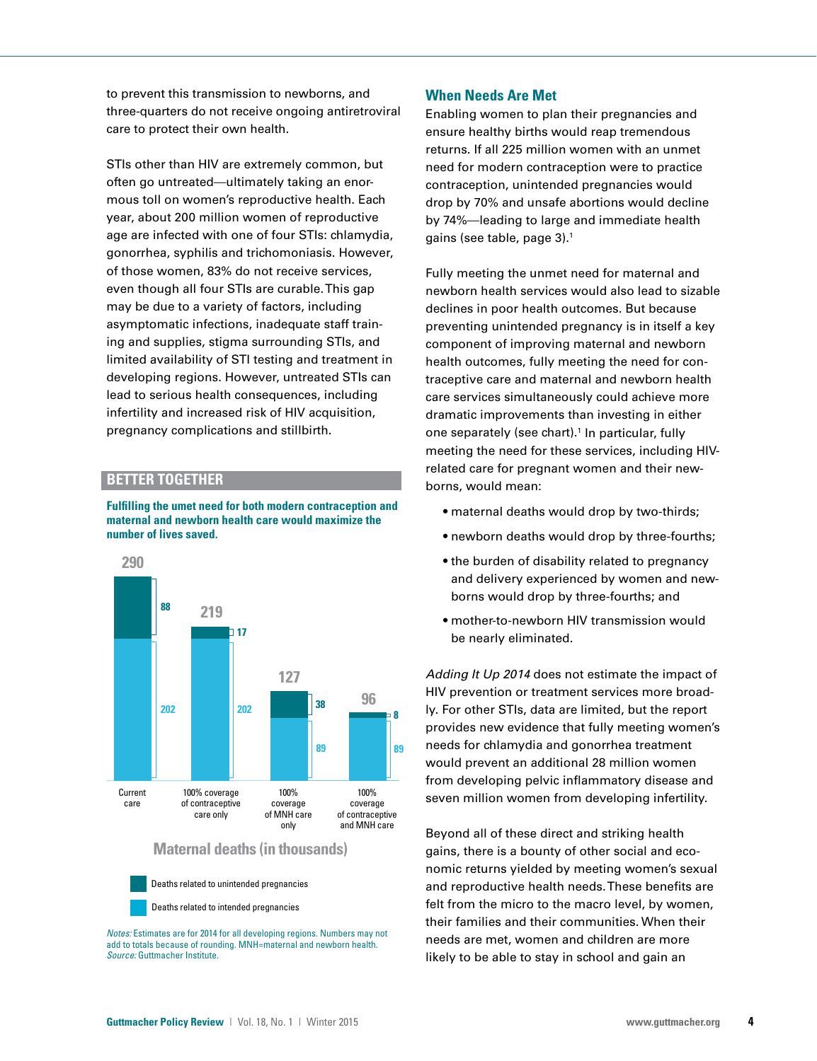to prevent this transmission to newborns, and three-quarters do not receive ongoing antiretroviral care to protect their own health.

STIs other than HIV are extremely common, but often go untreated—ultimately taking an enormous toll on women's reproductive health. Each year, about 200 million women of reproductive age are infected with one of four STIs: chlamydia, gonorrhea, syphilis and trichomoniasis. However, of those women, 83% do not receive services, even though all four STIs are curable. This gap may be due to a variety of factors, including asymptomatic infections, inadequate staff training and supplies, stigma surrounding STIs, and limited availability of STI testing and treatment in developing regions. However, untreated STIs can lead to serious health consequences, including infertility and increased risk of HIV acquisition, pregnancy complications and stillbirth.

## **BETTER TOGETHER**

**Fulfilling the umet need for both modern contraception and maternal and newborn health care would maximize the number of lives saved.**



Deaths related to unintended pregnancies Deaths related to intended pregnancies

*Notes:* Estimates are for 2014 for all developing regions. Numbers may not add to totals because of rounding. MNH=maternal and newborn health. *Source:* Guttmacher Institute.

## **When Needs Are Met**

Enabling women to plan their pregnancies and ensure healthy births would reap tremendous returns. If all 225 million women with an unmet need for modern contraception were to practice contraception, unintended pregnancies would drop by 70% and unsafe abortions would decline by 74%—leading to large and immediate health gains (see table, page 3).1

Fully meeting the unmet need for maternal and newborn health services would also lead to sizable declines in poor health outcomes. But because preventing unintended pregnancy is in itself a key component of improving maternal and newborn health outcomes, fully meeting the need for contraceptive care and maternal and newborn health care services simultaneously could achieve more dramatic improvements than investing in either one separately (see chart).<sup>1</sup> In particular, fully meeting the need for these services, including HIVrelated care for pregnant women and their newborns, would mean:

- maternal deaths would drop by two-thirds;
- newborn deaths would drop by three-fourths;
- the burden of disability related to pregnancy and delivery experienced by women and newborns would drop by three-fourths; and
- mother-to-newborn HIV transmission would be nearly eliminated.

*Adding It Up 2014* does not estimate the impact of HIV prevention or treatment services more broadly. For other STIs, data are limited, but the report provides new evidence that fully meeting women's needs for chlamydia and gonorrhea treatment would prevent an additional 28 million women from developing pelvic inflammatory disease and seven million women from developing infertility.

Beyond all of these direct and striking health gains, there is a bounty of other social and economic returns yielded by meeting women's sexual and reproductive health needs. These benefits are felt from the micro to the macro level, by women, their families and their communities. When their needs are met, women and children are more likely to be able to stay in school and gain an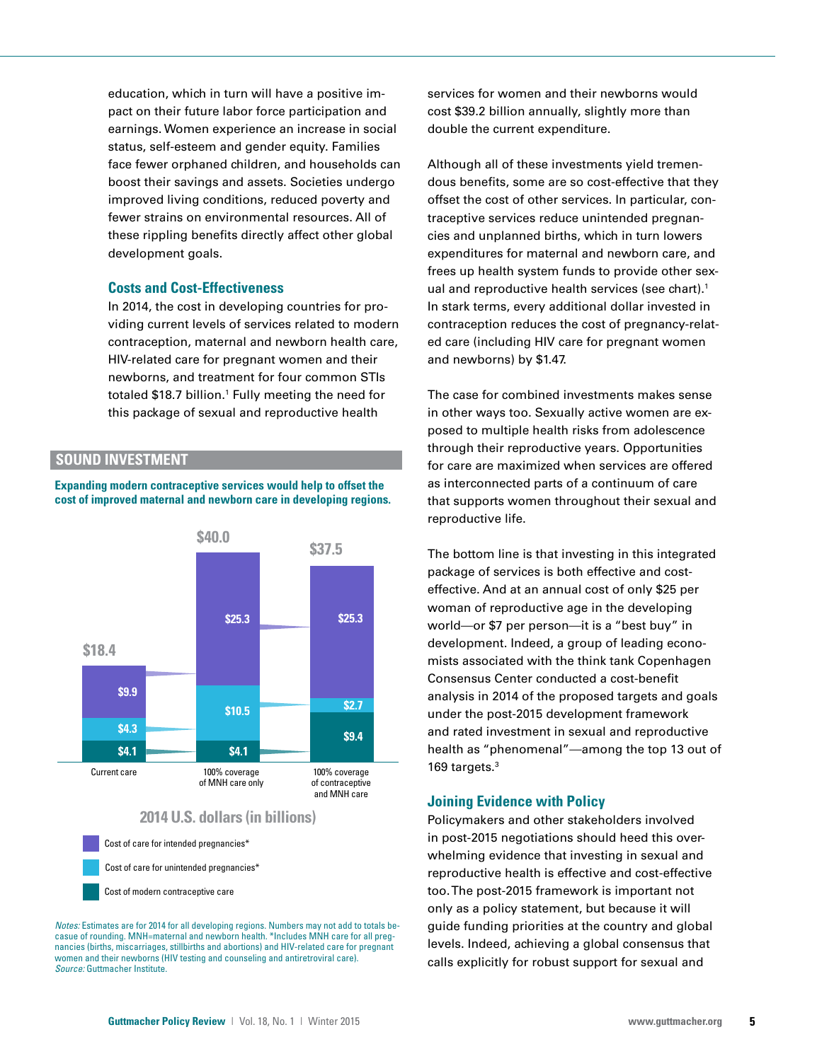education, which in turn will have a positive impact on their future labor force participation and earnings. Women experience an increase in social status, self-esteem and gender equity. Families face fewer orphaned children, and households can boost their savings and assets. Societies undergo improved living conditions, reduced poverty and fewer strains on environmental resources. All of these rippling benefits directly affect other global development goals.

#### **Costs and Cost-Effectiveness**

In 2014, the cost in developing countries for providing current levels of services related to modern contraception, maternal and newborn health care, HIV-related care for pregnant women and their newborns, and treatment for four common STIs totaled \$18.7 billion.<sup>1</sup> Fully meeting the need for this package of sexual and reproductive health

## **SOUND INVESTMENT**

**Expanding modern contraceptive services would help to offset the cost of improved maternal and newborn care in developing regions.**



*Notes:* Estimates are for 2014 for all developing regions. Numbers may not add to totals becasue of rounding. MNH=maternal and newborn health. \*Includes MNH care for all pregnancies (births, miscarriages, stillbirths and abortions) and HIV-related care for pregnant women and their newborns (HIV testing and counseling and antiretroviral care). *Source:* Guttmacher Institute.

services for women and their newborns would cost \$39.2 billion annually, slightly more than double the current expenditure.

Although all of these investments yield tremendous benefits, some are so cost-effective that they offset the cost of other services. In particular, contraceptive services reduce unintended pregnancies and unplanned births, which in turn lowers expenditures for maternal and newborn care, and frees up health system funds to provide other sexual and reproductive health services (see chart).<sup>1</sup> In stark terms, every additional dollar invested in contraception reduces the cost of pregnancy-related care (including HIV care for pregnant women and newborns) by \$1.47.

The case for combined investments makes sense in other ways too. Sexually active women are exposed to multiple health risks from adolescence through their reproductive years. Opportunities for care are maximized when services are offered as interconnected parts of a continuum of care that supports women throughout their sexual and reproductive life.

package of services is both effective and costeffective. And at an annual cost of only \$25 per woman of reproductive age in the developing world—or \$7 per person—it is a "best buy" in development. Indeed, a group of leading economists associated with the think tank Copenhagen Consensus Center conducted a cost-benefit analysis in 2014 of the proposed targets and goals under the post-2015 development framework and rated investment in sexual and reproductive health as "phenomenal"—among the top 13 out of 169 targets.<sup>3</sup>

#### **Joining Evidence with Policy**

Policymakers and other stakeholders involved in post-2015 negotiations should heed this overwhelming evidence that investing in sexual and reproductive health is effective and cost-effective too. The post-2015 framework is important not only as a policy statement, but because it will guide funding priorities at the country and global levels. Indeed, achieving a global consensus that calls explicitly for robust support for sexual and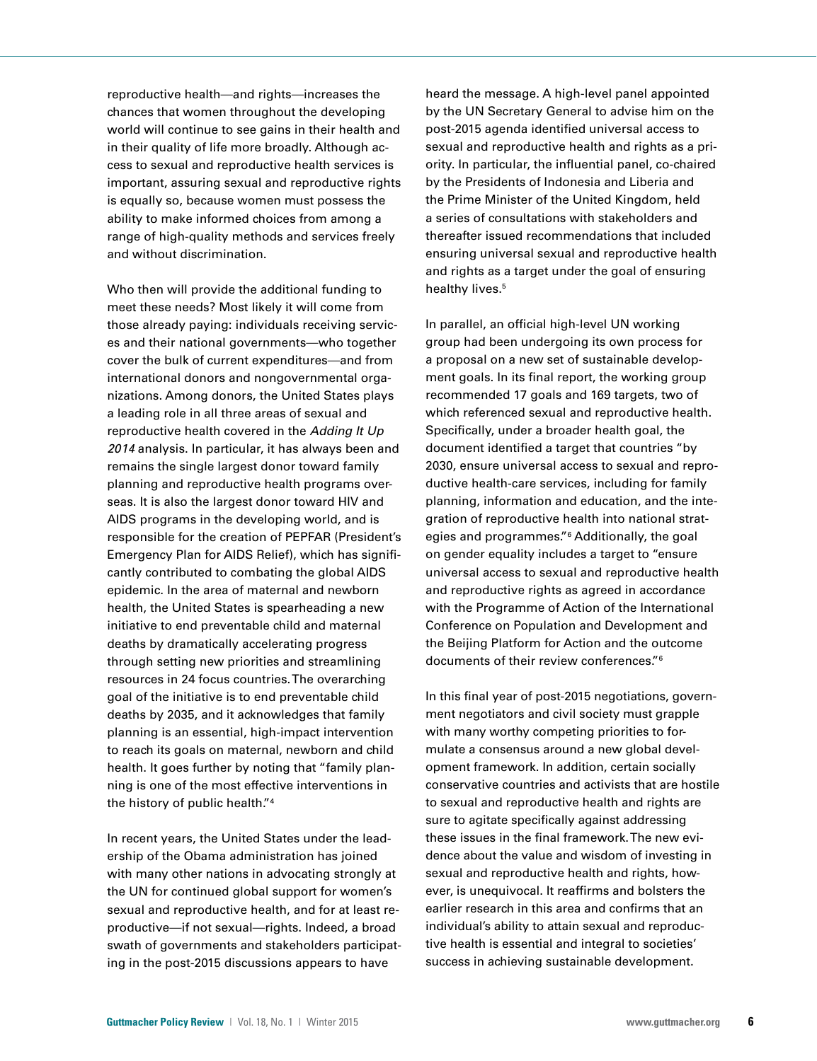reproductive health—and rights—increases the chances that women throughout the developing world will continue to see gains in their health and in their quality of life more broadly. Although access to sexual and reproductive health services is important, assuring sexual and reproductive rights is equally so, because women must possess the ability to make informed choices from among a range of high-quality methods and services freely and without discrimination.

Who then will provide the additional funding to meet these needs? Most likely it will come from those already paying: individuals receiving services and their national governments—who together cover the bulk of current expenditures—and from international donors and nongovernmental organizations. Among donors, the United States plays a leading role in all three areas of sexual and reproductive health covered in the *Adding It Up 2014* analysis. In particular, it has always been and remains the single largest donor toward family planning and reproductive health programs overseas. It is also the largest donor toward HIV and AIDS programs in the developing world, and is responsible for the creation of PEPFAR (President's Emergency Plan for AIDS Relief), which has significantly contributed to combating the global AIDS epidemic. In the area of maternal and newborn health, the United States is spearheading a new initiative to end preventable child and maternal deaths by dramatically accelerating progress through setting new priorities and streamlining resources in 24 focus countries. The overarching goal of the initiative is to end preventable child deaths by 2035, and it acknowledges that family planning is an essential, high-impact intervention to reach its goals on maternal, newborn and child health. It goes further by noting that "family planning is one of the most effective interventions in the history of public health."4

In recent years, the United States under the leadership of the Obama administration has joined with many other nations in advocating strongly at the UN for continued global support for women's sexual and reproductive health, and for at least reproductive—if not sexual—rights. Indeed, a broad swath of governments and stakeholders participating in the post-2015 discussions appears to have

heard the message. A high-level panel appointed by the UN Secretary General to advise him on the post-2015 agenda identified universal access to sexual and reproductive health and rights as a priority. In particular, the influential panel, co-chaired by the Presidents of Indonesia and Liberia and the Prime Minister of the United Kingdom, held a series of consultations with stakeholders and thereafter issued recommendations that included ensuring universal sexual and reproductive health and rights as a target under the goal of ensuring healthy lives.<sup>5</sup>

In parallel, an official high-level UN working group had been undergoing its own process for a proposal on a new set of sustainable development goals. In its final report, the working group recommended 17 goals and 169 targets, two of which referenced sexual and reproductive health. Specifically, under a broader health goal, the document identified a target that countries "by 2030, ensure universal access to sexual and reproductive health-care services, including for family planning, information and education, and the integration of reproductive health into national strategies and programmes."6 Additionally, the goal on gender equality includes a target to "ensure universal access to sexual and reproductive health and reproductive rights as agreed in accordance with the Programme of Action of the International Conference on Population and Development and the Beijing Platform for Action and the outcome documents of their review conferences."6

In this final year of post-2015 negotiations, government negotiators and civil society must grapple with many worthy competing priorities to formulate a consensus around a new global development framework. In addition, certain socially conservative countries and activists that are hostile to sexual and reproductive health and rights are sure to agitate specifically against addressing these issues in the final framework. The new evidence about the value and wisdom of investing in sexual and reproductive health and rights, however, is unequivocal. It reaffirms and bolsters the earlier research in this area and confirms that an individual's ability to attain sexual and reproductive health is essential and integral to societies' success in achieving sustainable development.